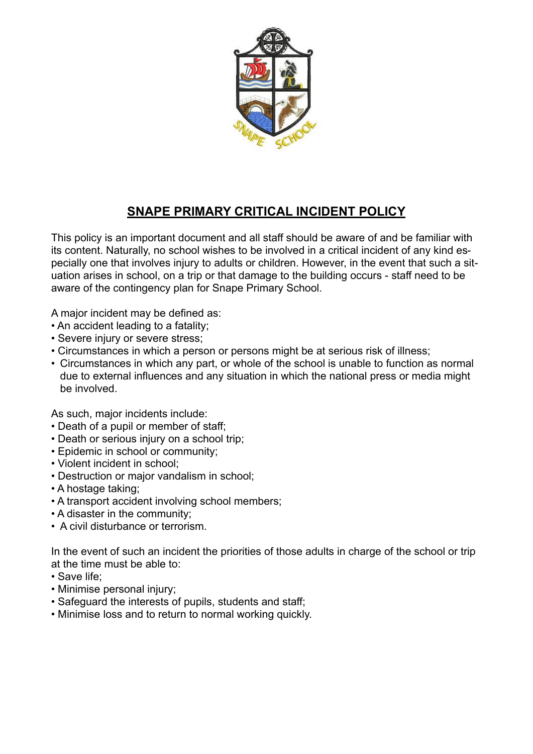

# **SNAPE PRIMARY CRITICAL INCIDENT POLICY**

This policy is an important document and all staff should be aware of and be familiar with its content. Naturally, no school wishes to be involved in a critical incident of any kind especially one that involves injury to adults or children. However, in the event that such a situation arises in school, on a trip or that damage to the building occurs - staff need to be aware of the contingency plan for Snape Primary School.

A major incident may be defined as:

- An accident leading to a fatality;
- Severe injury or severe stress;
- Circumstances in which a person or persons might be at serious risk of illness;
- Circumstances in which any part, or whole of the school is unable to function as normal due to external influences and any situation in which the national press or media might be involved.

As such, major incidents include:

- Death of a pupil or member of staff;
- Death or serious injury on a school trip;
- Epidemic in school or community;
- Violent incident in school;
- Destruction or major vandalism in school;
- A hostage taking;
- A transport accident involving school members;
- A disaster in the community;
- A civil disturbance or terrorism.

In the event of such an incident the priorities of those adults in charge of the school or trip at the time must be able to:

- Save life;
- Minimise personal injury;
- Safeguard the interests of pupils, students and staff;
- Minimise loss and to return to normal working quickly.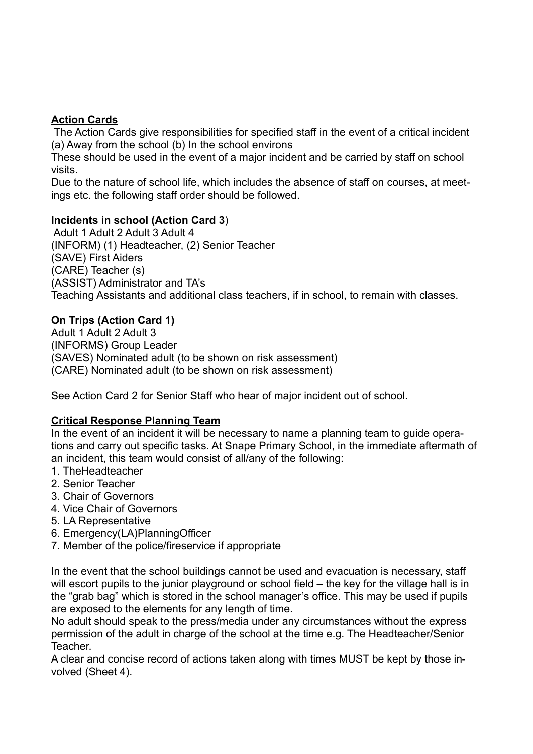## **Action Cards**

 The Action Cards give responsibilities for specified staff in the event of a critical incident (a) Away from the school (b) In the school environs

These should be used in the event of a major incident and be carried by staff on school visits.

Due to the nature of school life, which includes the absence of staff on courses, at meetings etc. the following staff order should be followed.

#### **Incidents in school (Action Card 3**)

 Adult 1 Adult 2 Adult 3 Adult 4 (INFORM) (1) Headteacher, (2) Senior Teacher (SAVE) First Aiders (CARE) Teacher (s) (ASSIST) Administrator and TA's Teaching Assistants and additional class teachers, if in school, to remain with classes.

### **On Trips (Action Card 1)**

Adult 1 Adult 2 Adult 3 (INFORMS) Group Leader (SAVES) Nominated adult (to be shown on risk assessment) (CARE) Nominated adult (to be shown on risk assessment)

See Action Card 2 for Senior Staff who hear of major incident out of school.

# **Critical Response Planning Team**

In the event of an incident it will be necessary to name a planning team to guide operations and carry out specific tasks. At Snape Primary School, in the immediate aftermath of an incident, this team would consist of all/any of the following:

- 1. TheHeadteacher
- 2. Senior Teacher
- 3. Chair of Governors
- 4. Vice Chair of Governors
- 5. LA Representative
- 6. Emergency(LA)PlanningOfficer
- 7. Member of the police/fireservice if appropriate

In the event that the school buildings cannot be used and evacuation is necessary, staff will escort pupils to the junior playground or school field – the key for the village hall is in the "grab bag" which is stored in the school manager's office. This may be used if pupils are exposed to the elements for any length of time.

No adult should speak to the press/media under any circumstances without the express permission of the adult in charge of the school at the time e.g. The Headteacher/Senior **Teacher** 

A clear and concise record of actions taken along with times MUST be kept by those involved (Sheet 4).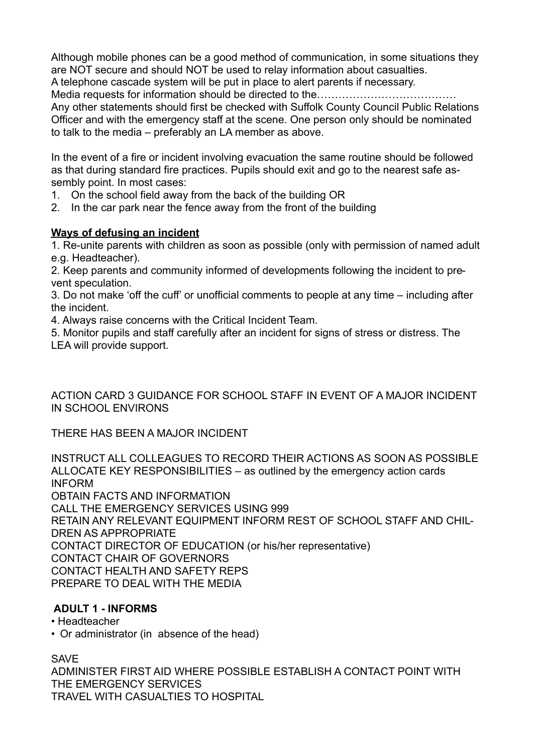Although mobile phones can be a good method of communication, in some situations they are NOT secure and should NOT be used to relay information about casualties. A telephone cascade system will be put in place to alert parents if necessary.

Media requests for information should be directed to the……………………………

Any other statements should first be checked with Suffolk County Council Public Relations Officer and with the emergency staff at the scene. One person only should be nominated to talk to the media – preferably an LA member as above.

In the event of a fire or incident involving evacuation the same routine should be followed as that during standard fire practices. Pupils should exit and go to the nearest safe assembly point. In most cases:

1. On the school field away from the back of the building OR

2. In the car park near the fence away from the front of the building

# **Ways of defusing an incident**

1. Re-unite parents with children as soon as possible (only with permission of named adult e.g. Headteacher).

2. Keep parents and community informed of developments following the incident to prevent speculation.

3. Do not make 'off the cuff' or unofficial comments to people at any time – including after the incident.

4. Always raise concerns with the Critical Incident Team.

5. Monitor pupils and staff carefully after an incident for signs of stress or distress. The LEA will provide support.

ACTION CARD 3 GUIDANCE FOR SCHOOL STAFF IN EVENT OF A MAJOR INCIDENT IN SCHOOL ENVIRONS

THERE HAS BEEN A MAJOR INCIDENT

INSTRUCT ALL COLLEAGUES TO RECORD THEIR ACTIONS AS SOON AS POSSIBLE ALLOCATE KEY RESPONSIBILITIES – as outlined by the emergency action cards INFORM OBTAIN FACTS AND INFORMATION CALL THE EMERGENCY SERVICES USING 999 RETAIN ANY RELEVANT EQUIPMENT INFORM REST OF SCHOOL STAFF AND CHIL-DREN AS APPROPRIATE CONTACT DIRECTOR OF EDUCATION (or his/her representative) CONTACT CHAIR OF GOVERNORS CONTACT HEALTH AND SAFETY REPS PREPARE TO DEAL WITH THE MEDIA

# **ADULT 1 - INFORMS**

### • Headteacher

• Or administrator (in absence of the head)

SAVE

ADMINISTER FIRST AID WHERE POSSIBLE ESTABLISH A CONTACT POINT WITH THE EMERGENCY SERVICES TRAVEL WITH CASUALTIES TO HOSPITAL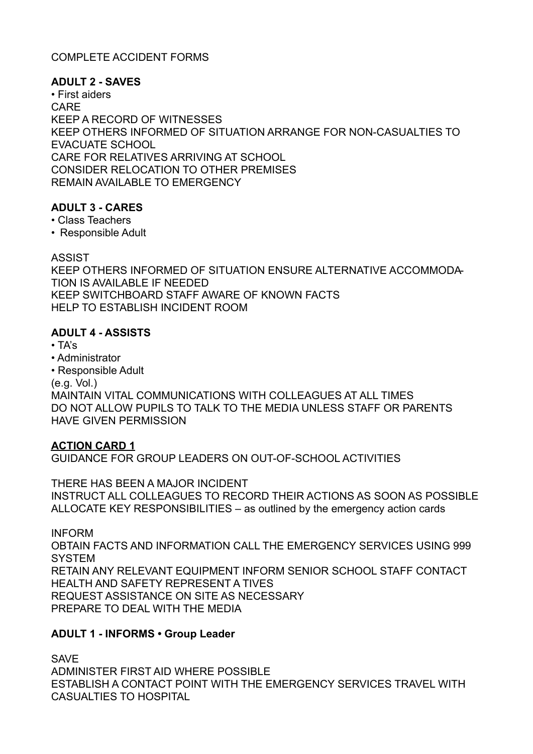### COMPLETE ACCIDENT FORMS

#### **ADULT 2 - SAVES**

• First aiders CARE KEEP A RECORD OF WITNESSES KEEP OTHERS INFORMED OF SITUATION ARRANGE FOR NON-CASUALTIES TO EVACUATE SCHOOL CARE FOR RELATIVES ARRIVING AT SCHOOL CONSIDER RELOCATION TO OTHER PREMISES REMAIN AVAILABLE TO EMERGENCY

### **ADULT 3 - CARES**

- Class Teachers
- Responsible Adult

ASSIST

KEEP OTHERS INFORMED OF SITUATION ENSURE ALTERNATIVE ACCOMMODA-TION IS AVAILABLE IF NEEDED KEEP SWITCHBOARD STAFF AWARE OF KNOWN FACTS HELP TO ESTABLISH INCIDENT ROOM

### **ADULT 4 - ASSISTS**

- TA's
- Administrator
- Responsible Adult

(e.g. Vol.)

MAINTAIN VITAL COMMUNICATIONS WITH COLLEAGUES AT ALL TIMES DO NOT ALLOW PUPILS TO TALK TO THE MEDIA UNLESS STAFF OR PARENTS HAVE GIVEN PERMISSION

### **ACTION CARD 1**

GUIDANCE FOR GROUP LEADERS ON OUT-OF-SCHOOL ACTIVITIES

THERE HAS BEEN A MAJOR INCIDENT INSTRUCT ALL COLLEAGUES TO RECORD THEIR ACTIONS AS SOON AS POSSIBLE ALLOCATE KEY RESPONSIBILITIES – as outlined by the emergency action cards

INFORM OBTAIN FACTS AND INFORMATION CALL THE EMERGENCY SERVICES USING 999 SYSTEM RETAIN ANY RELEVANT EQUIPMENT INFORM SENIOR SCHOOL STAFF CONTACT HEALTH AND SAFETY REPRESENT A TIVES REQUEST ASSISTANCE ON SITE AS NECESSARY PREPARE TO DEAL WITH THE MEDIA

### **ADULT 1 - INFORMS • Group Leader**

SAVE ADMINISTER FIRST AID WHERE POSSIBLE ESTABLISH A CONTACT POINT WITH THE EMERGENCY SERVICES TRAVEL WITH CASUALTIES TO HOSPITAL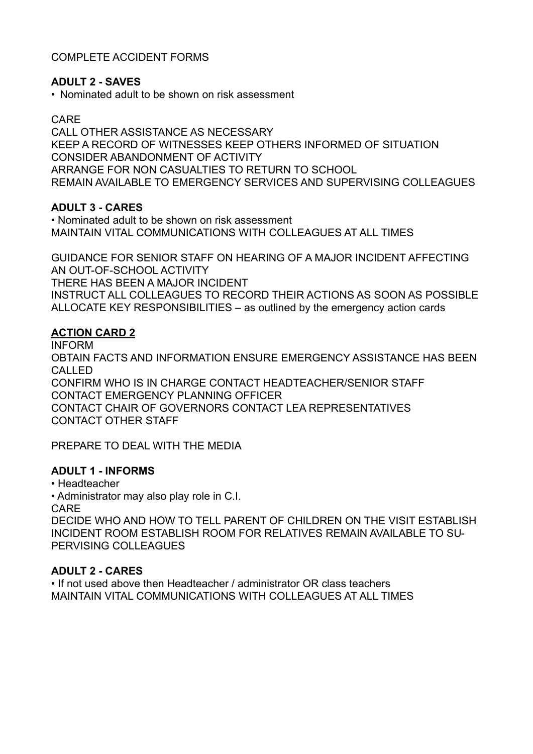COMPLETE ACCIDENT FORMS

### **ADULT 2 - SAVES**

• Nominated adult to be shown on risk assessment

## CARE

CALL OTHER ASSISTANCE AS NECESSARY KEEP A RECORD OF WITNESSES KEEP OTHERS INFORMED OF SITUATION CONSIDER ABANDONMENT OF ACTIVITY ARRANGE FOR NON CASUALTIES TO RETURN TO SCHOOL REMAIN AVAILABLE TO EMERGENCY SERVICES AND SUPERVISING COLLEAGUES

### **ADULT 3 - CARES**

• Nominated adult to be shown on risk assessment MAINTAIN VITAL COMMUNICATIONS WITH COLLEAGUES AT ALL TIMES

GUIDANCE FOR SENIOR STAFF ON HEARING OF A MAJOR INCIDENT AFFECTING AN OUT-OF-SCHOOL ACTIVITY THERE HAS BEEN A MAJOR INCIDENT INSTRUCT ALL COLLEAGUES TO RECORD THEIR ACTIONS AS SOON AS POSSIBLE ALLOCATE KEY RESPONSIBILITIES – as outlined by the emergency action cards

# **ACTION CARD 2**

INFORM OBTAIN FACTS AND INFORMATION ENSURE EMERGENCY ASSISTANCE HAS BEEN CALLED. CONFIRM WHO IS IN CHARGE CONTACT HEADTEACHER/SENIOR STAFF CONTACT EMERGENCY PLANNING OFFICER CONTACT CHAIR OF GOVERNORS CONTACT LEA REPRESENTATIVES CONTACT OTHER STAFF

PREPARE TO DEAL WITH THE MEDIA

# **ADULT 1 - INFORMS**

• Headteacher

• Administrator may also play role in C.I.

CARE

DECIDE WHO AND HOW TO TELL PARENT OF CHILDREN ON THE VISIT ESTABLISH INCIDENT ROOM ESTABLISH ROOM FOR RELATIVES REMAIN AVAILABLE TO SU-PERVISING COLLEAGUES

# **ADULT 2 - CARES**

• If not used above then Headteacher / administrator OR class teachers MAINTAIN VITAL COMMUNICATIONS WITH COLLEAGUES AT ALL TIMES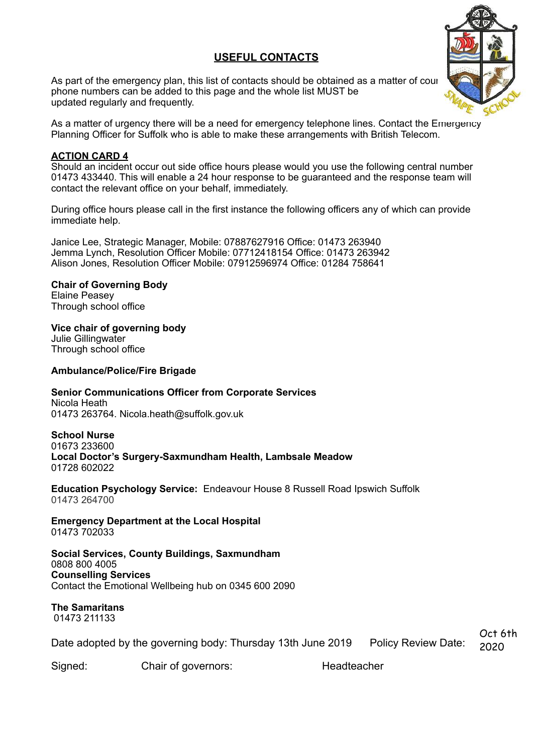### **USEFUL CONTACTS**

As part of the emergency plan, this list of contacts should be obtained as a matter of cour phone numbers can be added to this page and the whole list MUST be updated regularly and frequently.

As a matter of urgency there will be a need for emergency telephone lines. Contact the Emergency Planning Officer for Suffolk who is able to make these arrangements with British Telecom.

#### **ACTION CARD 4**

Should an incident occur out side office hours please would you use the following central number 01473 433440. This will enable a 24 hour response to be guaranteed and the response team will contact the relevant office on your behalf, immediately.

During office hours please call in the first instance the following officers any of which can provide immediate help.

Janice Lee, Strategic Manager, Mobile: 07887627916 Office: 01473 263940 Jemma Lynch, Resolution Officer Mobile: 07712418154 Office: 01473 263942 Alison Jones, Resolution Officer Mobile: 07912596974 Office: 01284 758641

#### **Chair of Governing Body**

Elaine Peasey Through school office

**Vice chair of governing body**  Julie Gillingwater

Through school office

#### **Ambulance/Police/Fire Brigade**

# **Senior Communications Officer from Corporate Services**

Nicola Heath 01473 263764. Nicola.heath@suffolk.gov.uk

#### **School Nurse**

01673 233600

**Local Doctor's Surgery-Saxmundham Health, Lambsale Meadow**  01728 602022

**Education Psychology Service:** Endeavour House 8 Russell Road Ipswich Suffolk 01473 264700

**Emergency Department at the Local Hospital**  01473 702033

**Social Services, County Buildings, Saxmundham**  0808 800 4005 **Counselling Services**  Contact the Emotional Wellbeing hub on 0345 600 2090

**The Samaritans**  01473 211133

Date adopted by the governing body: Thursday 13th June 2019 Policy Review Date: 2020

Oct 6th

Signed: Chair of governors: Headteacher